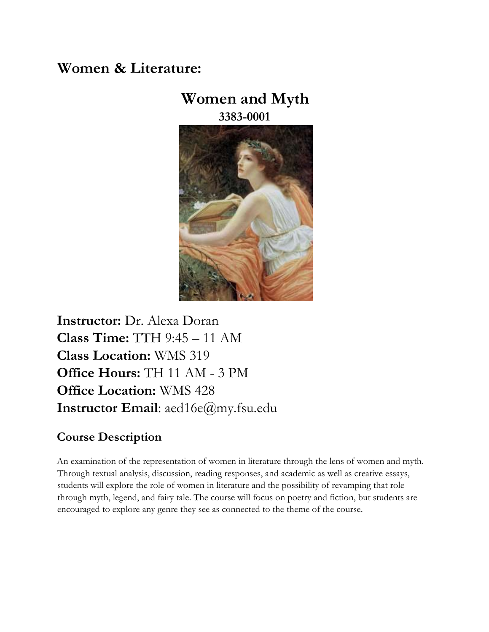# **Women & Literature:**

# **Women and Myth 3383-0001**



**Instructor:** Dr. Alexa Doran **Class Time:** TTH 9:45 – 11 AM **Class Location:** WMS 319 **Office Hours:** TH 11 AM - 3 PM **Office Location:** WMS 428 **Instructor Email**: aed16e@my.fsu.edu

# **Course Description**

An examination of the representation of women in literature through the lens of women and myth. Through textual analysis, discussion, reading responses, and academic as well as creative essays, students will explore the role of women in literature and the possibility of revamping that role through myth, legend, and fairy tale. The course will focus on poetry and fiction, but students are encouraged to explore any genre they see as connected to the theme of the course.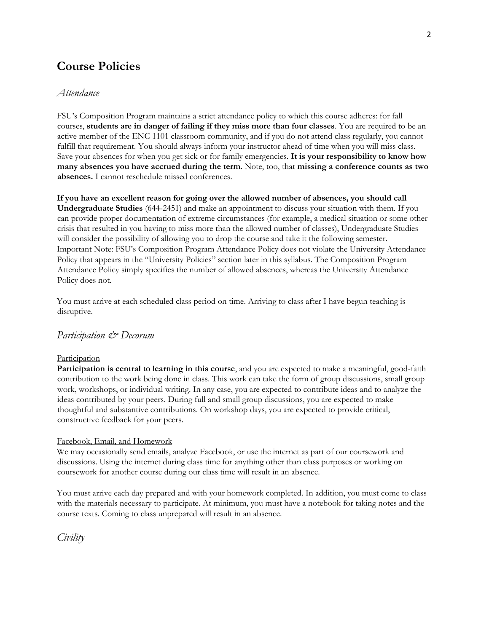## **Course Policies**

## *Attendance*

FSU's Composition Program maintains a strict attendance policy to which this course adheres: for fall courses, **students are in danger of failing if they miss more than four classes**. You are required to be an active member of the ENC 1101 classroom community, and if you do not attend class regularly, you cannot fulfill that requirement. You should always inform your instructor ahead of time when you will miss class. Save your absences for when you get sick or for family emergencies. **It is your responsibility to know how many absences you have accrued during the term**. Note, too, that **missing a conference counts as two absences.** I cannot reschedule missed conferences.

**If you have an excellent reason for going over the allowed number of absences, you should call Undergraduate Studies** (644-2451) and make an appointment to discuss your situation with them. If you can provide proper documentation of extreme circumstances (for example, a medical situation or some other crisis that resulted in you having to miss more than the allowed number of classes), Undergraduate Studies will consider the possibility of allowing you to drop the course and take it the following semester. Important Note: FSU's Composition Program Attendance Policy does not violate the University Attendance Policy that appears in the "University Policies" section later in this syllabus. The Composition Program Attendance Policy simply specifies the number of allowed absences, whereas the University Attendance Policy does not.

You must arrive at each scheduled class period on time. Arriving to class after I have begun teaching is disruptive.

## *Participation & Decorum*

#### Participation

**Participation is central to learning in this course**, and you are expected to make a meaningful, good-faith contribution to the work being done in class. This work can take the form of group discussions, small group work, workshops, or individual writing. In any case, you are expected to contribute ideas and to analyze the ideas contributed by your peers. During full and small group discussions, you are expected to make thoughtful and substantive contributions. On workshop days, you are expected to provide critical, constructive feedback for your peers.

#### Facebook, Email, and Homework

We may occasionally send emails, analyze Facebook, or use the internet as part of our coursework and discussions. Using the internet during class time for anything other than class purposes or working on coursework for another course during our class time will result in an absence.

You must arrive each day prepared and with your homework completed. In addition, you must come to class with the materials necessary to participate. At minimum, you must have a notebook for taking notes and the course texts. Coming to class unprepared will result in an absence.

*Civility*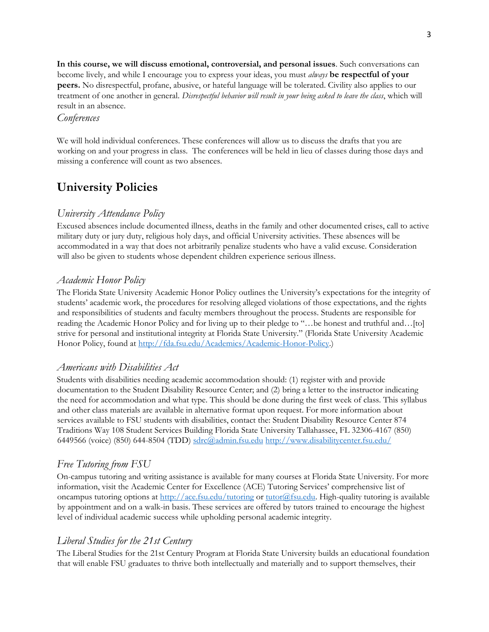**In this course, we will discuss emotional, controversial, and personal issues**. Such conversations can become lively, and while I encourage you to express your ideas, you must *always* **be respectful of your peers.** No disrespectful, profane, abusive, or hateful language will be tolerated. Civility also applies to our treatment of one another in general. *Disrespectful behavior will result in your being asked to leave the class*, which will result in an absence.

## *Conferences*

We will hold individual conferences. These conferences will allow us to discuss the drafts that you are working on and your progress in class. The conferences will be held in lieu of classes during those days and missing a conference will count as two absences.

## **University Policies**

## *University Attendance Policy*

Excused absences include documented illness, deaths in the family and other documented crises, call to active military duty or jury duty, religious holy days, and official University activities. These absences will be accommodated in a way that does not arbitrarily penalize students who have a valid excuse. Consideration will also be given to students whose dependent children experience serious illness.

## *Academic Honor Policy*

The Florida State University Academic Honor Policy outlines the University's expectations for the integrity of students' academic work, the procedures for resolving alleged violations of those expectations, and the rights and responsibilities of students and faculty members throughout the process. Students are responsible for reading the Academic Honor Policy and for living up to their pledge to "…be honest and truthful and…[to] strive for personal and institutional integrity at Florida State University." (Florida State University Academic Honor Policy, found at [http://fda.fsu.edu/Academics/Academic-Honor-Policy.\)](http://fda.fsu.edu/Academics/Academic-Honor-Policy)

## *Americans with Disabilities Act*

Students with disabilities needing academic accommodation should: (1) register with and provide documentation to the Student Disability Resource Center; and (2) bring a letter to the instructor indicating the need for accommodation and what type. This should be done during the first week of class. This syllabus and other class materials are available in alternative format upon request. For more information about services available to FSU students with disabilities, contact the: Student Disability Resource Center 874 Traditions Way 108 Student Services Building Florida State University Tallahassee, FL 32306-4167 (850) 6449566 (voice) (850) 644-8504 (TDD) sdrc@admin.fsu.ed[u](http://www.disabilitycenter.fsu.edu/) <http://www.disabilitycenter.fsu.edu/>

## *Free Tutoring from FSU*

On-campus tutoring and writing assistance is available for many courses at Florida State University. For more information, visit the Academic Center for Excellence (ACE) Tutoring Services' comprehensive list of oncampus tutoring options at<http://ace.fsu.edu/tutoring> [o](http://ace.fsu.edu/tutoring)r tutor@fsu.edu. High-quality tutoring is available by appointment and on a walk-in basis. These services are offered by tutors trained to encourage the highest level of individual academic success while upholding personal academic integrity.

## *Liberal Studies for the 21st Century*

The Liberal Studies for the 21st Century Program at Florida State University builds an educational foundation that will enable FSU graduates to thrive both intellectually and materially and to support themselves, their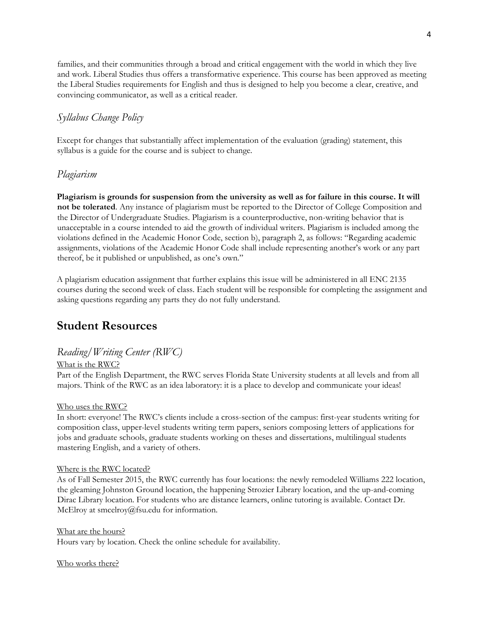families, and their communities through a broad and critical engagement with the world in which they live and work. Liberal Studies thus offers a transformative experience. This course has been approved as meeting the Liberal Studies requirements for English and thus is designed to help you become a clear, creative, and convincing communicator, as well as a critical reader.

## *Syllabus Change Policy*

Except for changes that substantially affect implementation of the evaluation (grading) statement, this syllabus is a guide for the course and is subject to change.

## *Plagiarism*

**Plagiarism is grounds for suspension from the university as well as for failure in this course. It will not be tolerated**. Any instance of plagiarism must be reported to the Director of College Composition and the Director of Undergraduate Studies. Plagiarism is a counterproductive, non-writing behavior that is unacceptable in a course intended to aid the growth of individual writers. Plagiarism is included among the violations defined in the Academic Honor Code, section b), paragraph 2, as follows: "Regarding academic assignments, violations of the Academic Honor Code shall include representing another's work or any part thereof, be it published or unpublished, as one's own."

A plagiarism education assignment that further explains this issue will be administered in all ENC 2135 courses during the second week of class. Each student will be responsible for completing the assignment and asking questions regarding any parts they do not fully understand.

## **Student Resources**

## *Reading/Writing Center (RWC)*

## What is the RWC?

Part of the English Department, the RWC serves Florida State University students at all levels and from all majors. Think of the RWC as an idea laboratory: it is a place to develop and communicate your ideas!

#### Who uses the RWC?

In short: everyone! The RWC's clients include a cross-section of the campus: first-year students writing for composition class, upper-level students writing term papers, seniors composing letters of applications for jobs and graduate schools, graduate students working on theses and dissertations, multilingual students mastering English, and a variety of others.

#### Where is the RWC located?

As of Fall Semester 2015, the RWC currently has four locations: the newly remodeled Williams 222 location, the gleaming Johnston Ground location, the happening Strozier Library location, and the up-and-coming Dirac Library location. For students who are distance learners, online tutoring is available. Contact Dr. McElroy at smcelroy@fsu.edu for information.

What are the hours? Hours vary by location. Check the online schedule for availability.

Who works there?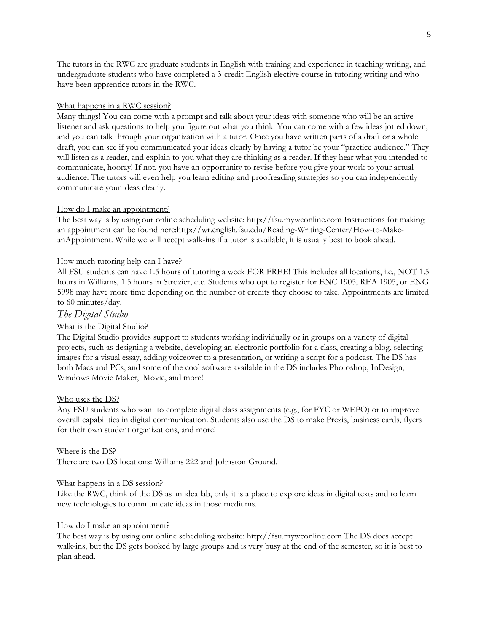The tutors in the RWC are graduate students in English with training and experience in teaching writing, and undergraduate students who have completed a 3-credit English elective course in tutoring writing and who have been apprentice tutors in the RWC.

#### What happens in a RWC session?

Many things! You can come with a prompt and talk about your ideas with someone who will be an active listener and ask questions to help you figure out what you think. You can come with a few ideas jotted down, and you can talk through your organization with a tutor. Once you have written parts of a draft or a whole draft, you can see if you communicated your ideas clearly by having a tutor be your "practice audience." They will listen as a reader, and explain to you what they are thinking as a reader. If they hear what you intended to communicate, hooray! If not, you have an opportunity to revise before you give your work to your actual audience. The tutors will even help you learn editing and proofreading strategies so you can independently communicate your ideas clearly.

#### How do I make an appointment?

The best way is by using our online scheduling website: http://fsu.mywconline.com Instructions for making an appointment can be found here:http://wr.english.fsu.edu/Reading-Writing-Center/How-to-MakeanAppointment. While we will accept walk-ins if a tutor is available, it is usually best to book ahead.

#### How much tutoring help can I have?

All FSU students can have 1.5 hours of tutoring a week FOR FREE! This includes all locations, i.e., NOT 1.5 hours in Williams, 1.5 hours in Strozier, etc. Students who opt to register for ENC 1905, REA 1905, or ENG 5998 may have more time depending on the number of credits they choose to take. Appointments are limited to 60 minutes/day.

#### *The Digital Studio*

#### What is the Digital Studio?

The Digital Studio provides support to students working individually or in groups on a variety of digital projects, such as designing a website, developing an electronic portfolio for a class, creating a blog, selecting images for a visual essay, adding voiceover to a presentation, or writing a script for a podcast. The DS has both Macs and PCs, and some of the cool software available in the DS includes Photoshop, InDesign, Windows Movie Maker, iMovie, and more!

#### Who uses the DS?

Any FSU students who want to complete digital class assignments (e.g., for FYC or WEPO) or to improve overall capabilities in digital communication. Students also use the DS to make Prezis, business cards, flyers for their own student organizations, and more!

#### Where is the DS?

There are two DS locations: Williams 222 and Johnston Ground.

#### What happens in a DS session?

Like the RWC, think of the DS as an idea lab, only it is a place to explore ideas in digital texts and to learn new technologies to communicate ideas in those mediums.

#### How do I make an appointment?

The best way is by using our online scheduling website: http://fsu.mywconline.com The DS does accept walk-ins, but the DS gets booked by large groups and is very busy at the end of the semester, so it is best to plan ahead.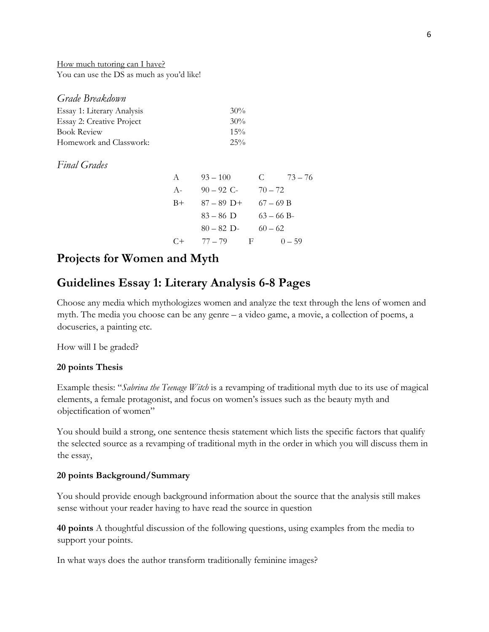How much tutoring can I have? You can use the DS as much as you'd like!

| Grade Breakdown            |        |
|----------------------------|--------|
| Essay 1: Literary Analysis | 30%    |
| Essay 2: Creative Project  | 30%    |
| <b>Book Review</b>         | $15\%$ |
| Homework and Classwork:    | $25\%$ |

## *Final Grades*

| A     | $93 - 100$   | $73 - 76$<br>C. |  |
|-------|--------------|-----------------|--|
| $A-$  | $90 - 92$ C- | $70 - 72$       |  |
| $B+$  | $87 - 89$ D+ | $67 - 69 B$     |  |
|       | $83 - 86$ D  | $63 - 66 B$     |  |
|       | $80 - 82$ D- | $60 - 62$       |  |
| $($ + | $77 - 79$    | F<br>$() - 59$  |  |

## **Projects for Women and Myth**

## **Guidelines Essay 1: Literary Analysis 6-8 Pages**

Choose any media which mythologizes women and analyze the text through the lens of women and myth. The media you choose can be any genre – a video game, a movie, a collection of poems, a docuseries, a painting etc.

How will I be graded?

## **20 points Thesis**

Example thesis: "*Sabrina the Teenage Witch* is a revamping of traditional myth due to its use of magical elements, a female protagonist, and focus on women's issues such as the beauty myth and objectification of women"

You should build a strong, one sentence thesis statement which lists the specific factors that qualify the selected source as a revamping of traditional myth in the order in which you will discuss them in the essay,

### **20 points Background/Summary**

You should provide enough background information about the source that the analysis still makes sense without your reader having to have read the source in question

**40 points** A thoughtful discussion of the following questions, using examples from the media to support your points.

In what ways does the author transform traditionally feminine images?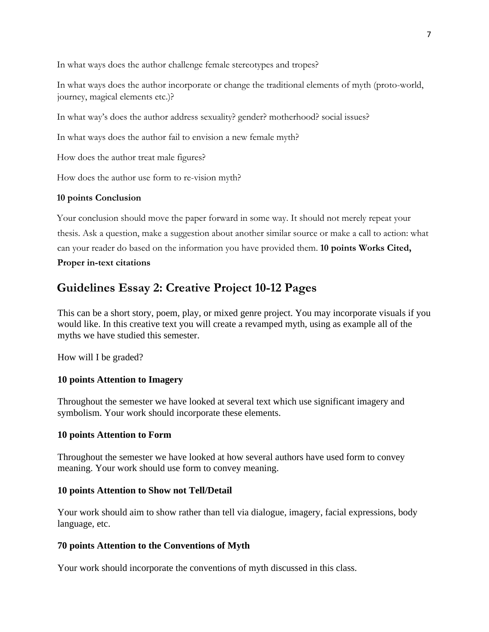In what ways does the author challenge female stereotypes and tropes?

In what ways does the author incorporate or change the traditional elements of myth (proto-world, journey, magical elements etc.)?

In what way's does the author address sexuality? gender? motherhood? social issues?

In what ways does the author fail to envision a new female myth?

How does the author treat male figures?

How does the author use form to re-vision myth?

## **10 points Conclusion**

Your conclusion should move the paper forward in some way. It should not merely repeat your thesis. Ask a question, make a suggestion about another similar source or make a call to action: what can your reader do based on the information you have provided them. **10 points Works Cited, Proper in-text citations** 

## **Guidelines Essay 2: Creative Project 10-12 Pages**

This can be a short story, poem, play, or mixed genre project. You may incorporate visuals if you would like. In this creative text you will create a revamped myth, using as example all of the myths we have studied this semester.

How will I be graded?

## **10 points Attention to Imagery**

Throughout the semester we have looked at several text which use significant imagery and symbolism. Your work should incorporate these elements.

## **10 points Attention to Form**

Throughout the semester we have looked at how several authors have used form to convey meaning. Your work should use form to convey meaning.

## **10 points Attention to Show not Tell/Detail**

Your work should aim to show rather than tell via dialogue, imagery, facial expressions, body language, etc.

## **70 points Attention to the Conventions of Myth**

Your work should incorporate the conventions of myth discussed in this class.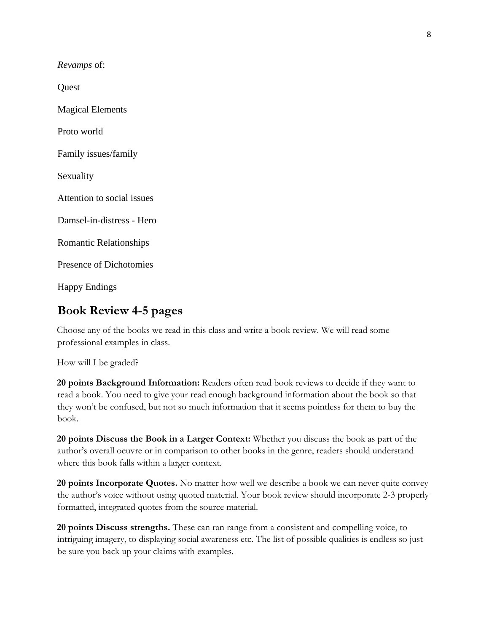*Revamps* of:

**Quest** 

Magical Elements

Proto world

Family issues/family

Sexuality

Attention to social issues

Damsel-in-distress - Hero

Romantic Relationships

Presence of Dichotomies

Happy Endings

## **Book Review 4-5 pages**

Choose any of the books we read in this class and write a book review. We will read some professional examples in class.

How will I be graded?

**20 points Background Information:** Readers often read book reviews to decide if they want to read a book. You need to give your read enough background information about the book so that they won't be confused, but not so much information that it seems pointless for them to buy the book.

**20 points Discuss the Book in a Larger Context:** Whether you discuss the book as part of the author's overall oeuvre or in comparison to other books in the genre, readers should understand where this book falls within a larger context.

**20 points Incorporate Quotes.** No matter how well we describe a book we can never quite convey the author's voice without using quoted material. Your book review should incorporate 2-3 properly formatted, integrated quotes from the source material.

**20 points Discuss strengths.** These can ran range from a consistent and compelling voice, to intriguing imagery, to displaying social awareness etc. The list of possible qualities is endless so just be sure you back up your claims with examples.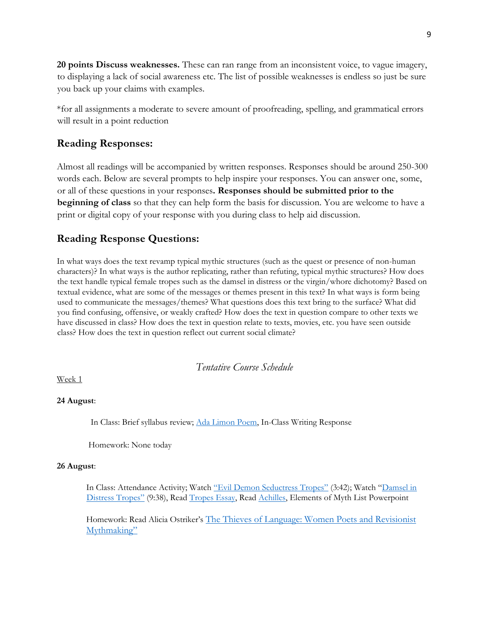**20 points Discuss weaknesses.** These can ran range from an inconsistent voice, to vague imagery, to displaying a lack of social awareness etc. The list of possible weaknesses is endless so just be sure you back up your claims with examples.

\*for all assignments a moderate to severe amount of proofreading, spelling, and grammatical errors will result in a point reduction

## **Reading Responses:**

Almost all readings will be accompanied by written responses. Responses should be around 250-300 words each. Below are several prompts to help inspire your responses. You can answer one, some, or all of these questions in your responses**. Responses should be submitted prior to the beginning of class** so that they can help form the basis for discussion. You are welcome to have a print or digital copy of your response with you during class to help aid discussion.

## **Reading Response Questions:**

In what ways does the text revamp typical mythic structures (such as the quest or presence of non-human characters)? In what ways is the author replicating, rather than refuting, typical mythic structures? How does the text handle typical female tropes such as the damsel in distress or the virgin/whore dichotomy? Based on textual evidence, what are some of the messages or themes present in this text? In what ways is form being used to communicate the messages/themes? What questions does this text bring to the surface? What did you find confusing, offensive, or weakly crafted? How does the text in question compare to other texts we have discussed in class? How does the text in question relate to texts, movies, etc. you have seen outside class? How does the text in question reflect out current social climate?

## *Tentative Course Schedule*

Week 1

## **24 August**:

In Class: Brief syllabus review; [Ada Limon](http://www.monsteringmag.com/blog/2019/2/27/wonder-woman) [Poem,](http://www.monsteringmag.com/blog/2019/2/27/wonder-woman) In-Class Writing Response

Homework: None today

#### **26 August**:

In Class: Attendance Activity; Watch ["Evil Demon Seductress Tropes"](https://www.youtube.com/watch?v=_VeCjm1UO4M&feature=youtu.be) [\(](https://www.youtube.com/watch?v=_VeCjm1UO4M&feature=youtu.be)3:42); Watch "[Damsel in](https://feministfrequency.com/video/damsel-in-distress-part-1/) Di[stress Tropes"](https://feministfrequency.com/video/damsel-in-distress-part-1/) [\(](https://feministfrequency.com/video/damsel-in-distress-part-1/)9:38), Read [Tropes Essay,](https://www.theatlantic.com/international/archive/2012/07/10-tropes-about-women-women-should-stop-laughing-about/325782/?fbclid=IwAR0txBzl89cRbUUrEuXMuei2HFXqM0NBVEUD5qHN0Po5RXN5IpzSXG6u14g) Read [Achilles,](https://www.quora.com/What-is-the-story-of-Achilles?fbclid=IwAR0JJXh3pNIY6ocRFyDRes1XjQ2nVYPDDlP3KidKvdf0rM7NW9HTzoDGnSk) Elements of Myth List Powerpoint

Homework: Read Alicia Ostriker's [The Thieves of Language: Women Poets and Revisionist](https://www-jstor-org.proxy.lib.fsu.edu/stable/pdf/3173482.pdf?refreqid=excelsior%3A566f318e4aad21d47164beaa03c56408) [Mythmaking"](https://www-jstor-org.proxy.lib.fsu.edu/stable/pdf/3173482.pdf?refreqid=excelsior%3A566f318e4aad21d47164beaa03c56408)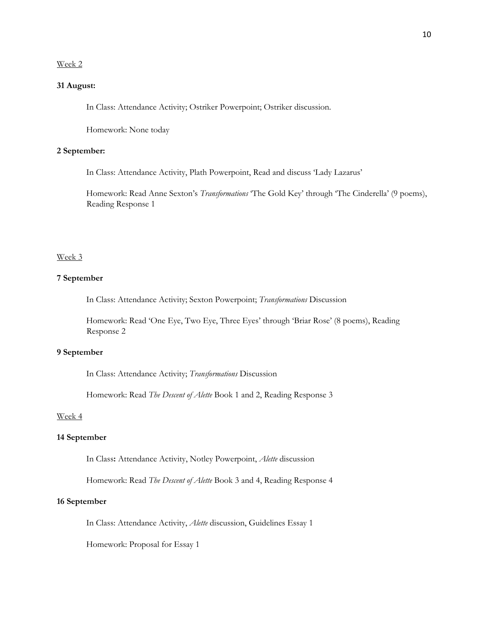#### Week 2

## **31 August:**

In Class: Attendance Activity; Ostriker Powerpoint; Ostriker discussion.

Homework: None today

### **2 September:**

In Class: Attendance Activity, Plath Powerpoint, Read and discuss 'Lady Lazarus'

Homework: Read Anne Sexton's *Transformations* 'The Gold Key' through 'The Cinderella' (9 poems), Reading Response 1

#### Week 3

#### **7 September**

In Class: Attendance Activity; Sexton Powerpoint; *Transformations* Discussion

Homework: Read 'One Eye, Two Eye, Three Eyes' through 'Briar Rose' (8 poems), Reading Response 2

#### **9 September**

In Class: Attendance Activity; *Transformations* Discussion

Homework: Read *The Descent of Alette* Book 1 and 2, Reading Response 3

#### Week 4

#### **14 September**

In Class**:** Attendance Activity, Notley Powerpoint, *Alette* discussion

Homework: Read *The Descent of Alette* Book 3 and 4, Reading Response 4

#### **16 September**

In Class: Attendance Activity, *Alette* discussion, Guidelines Essay 1

Homework: Proposal for Essay 1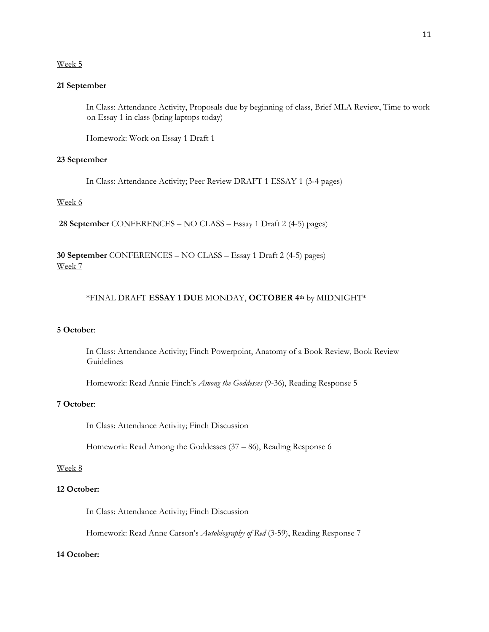#### Week 5

### **21 September**

In Class: Attendance Activity, Proposals due by beginning of class, Brief MLA Review, Time to work on Essay 1 in class (bring laptops today)

Homework: Work on Essay 1 Draft 1

### **23 September**

In Class: Attendance Activity; Peer Review DRAFT 1 ESSAY 1 (3-4 pages)

### Week 6

**28 September** CONFERENCES – NO CLASS – Essay 1 Draft 2 (4-5) pages)

**30 September** CONFERENCES – NO CLASS – Essay 1 Draft 2 (4-5) pages) Week 7

## \*FINAL DRAFT **ESSAY 1 DUE** MONDAY, **OCTOBER 4th** by MIDNIGHT\*

## **5 October**:

In Class: Attendance Activity; Finch Powerpoint, Anatomy of a Book Review, Book Review Guidelines

Homework: Read Annie Finch's *Among the Goddesses* (9-36), Reading Response 5

## **7 October**:

In Class: Attendance Activity; Finch Discussion

Homework: Read Among the Goddesses (37 – 86), Reading Response 6

## Week 8

## **12 October:**

In Class: Attendance Activity; Finch Discussion

Homework: Read Anne Carson's *Autobiography of Red* (3-59), Reading Response 7

#### **14 October:**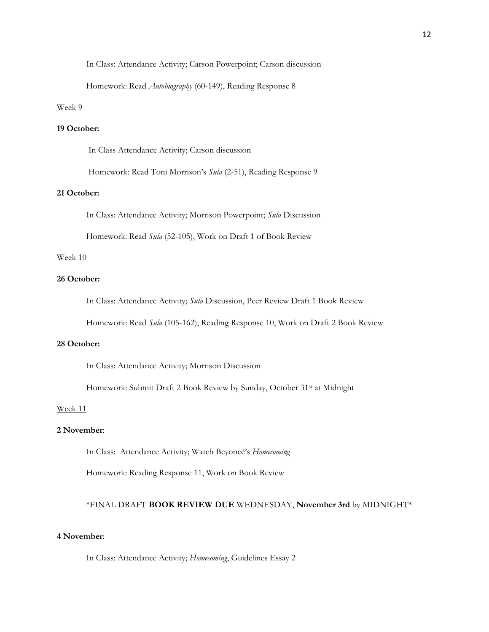In Class: Attendance Activity; Carson Powerpoint; Carson discussion

Homework: Read *Autobiography* (60-149), Reading Response 8

#### Week 9

## **19 October:**

In Class Attendance Activity; Carson discussion

Homework: Read Toni Morrison's *Sula* (2-51), Reading Response 9

## **21 October:**

In Class: Attendance Activity; Morrison Powerpoint; *Sula* Discussion

Homework: Read *Sula* (52-105), Work on Draft 1 of Book Review

#### Week 10

### **26 October:**

In Class: Attendance Activity; *Sula* Discussion, Peer Review Draft 1 Book Review

Homework: Read *Sula* (105-162), Reading Response 10, Work on Draft 2 Book Review

### **28 October:**

In Class: Attendance Activity; Morrison Discussion

Homework: Submit Draft 2 Book Review by Sunday, October 31st at Midnight

#### Week 11

## **2 November**:

In Class: Attendance Activity; Watch Beyoncé's *Homecoming*

Homework: Reading Response 11, Work on Book Review

### \*FINAL DRAFT **BOOK REVIEW DUE** WEDNESDAY, **November 3rd** by MIDNIGHT\*

## **4 November**:

In Class: Attendance Activity; *Homecoming*, Guidelines Essay 2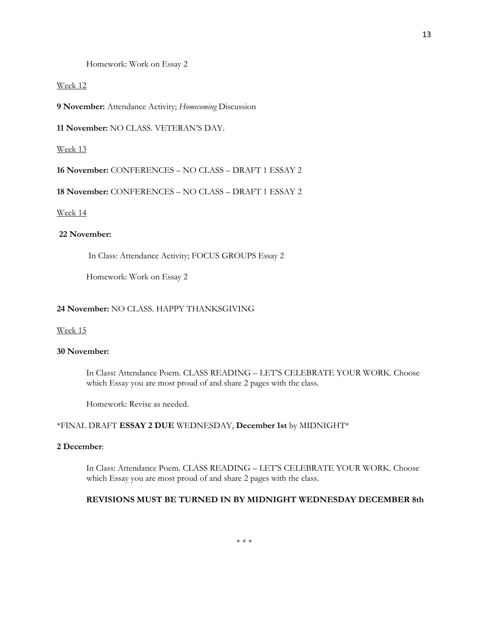Homework: Work on Essay 2

#### Week 12

**9 November:** Attendance Activity; *Homecoming* Discussion

**11 November:** NO CLASS. VETERAN'S DAY.

#### Week 13

**16 November:** CONFERENCES – NO CLASS – DRAFT 1 ESSAY 2

**18 November:** CONFERENCES – NO CLASS – DRAFT 1 ESSAY 2

#### Week 14

## **22 November:**

In Class: Attendance Activity; FOCUS GROUPS Essay 2

Homework: Work on Essay 2

## **24 November:** NO CLASS. HAPPY THANKSGIVING

## Week 15

## **30 November:**

In Class**:** Attendance Poem. CLASS READING – LET'S CELEBRATE YOUR WORK. Choose which Essay you are most proud of and share 2 pages with the class.

Homework: Revise as needed.

#### \*FINAL DRAFT **ESSAY 2 DUE** WEDNESDAY, **December 1st** by MIDNIGHT\*

#### **2 December**:

In Class: Attendance Poem. CLASS READING – LET'S CELEBRATE YOUR WORK. Choose which Essay you are most proud of and share 2 pages with the class.

#### **REVISIONS MUST BE TURNED IN BY MIDNIGHT WEDNESDAY DECEMBER 8th**

\* \* \*